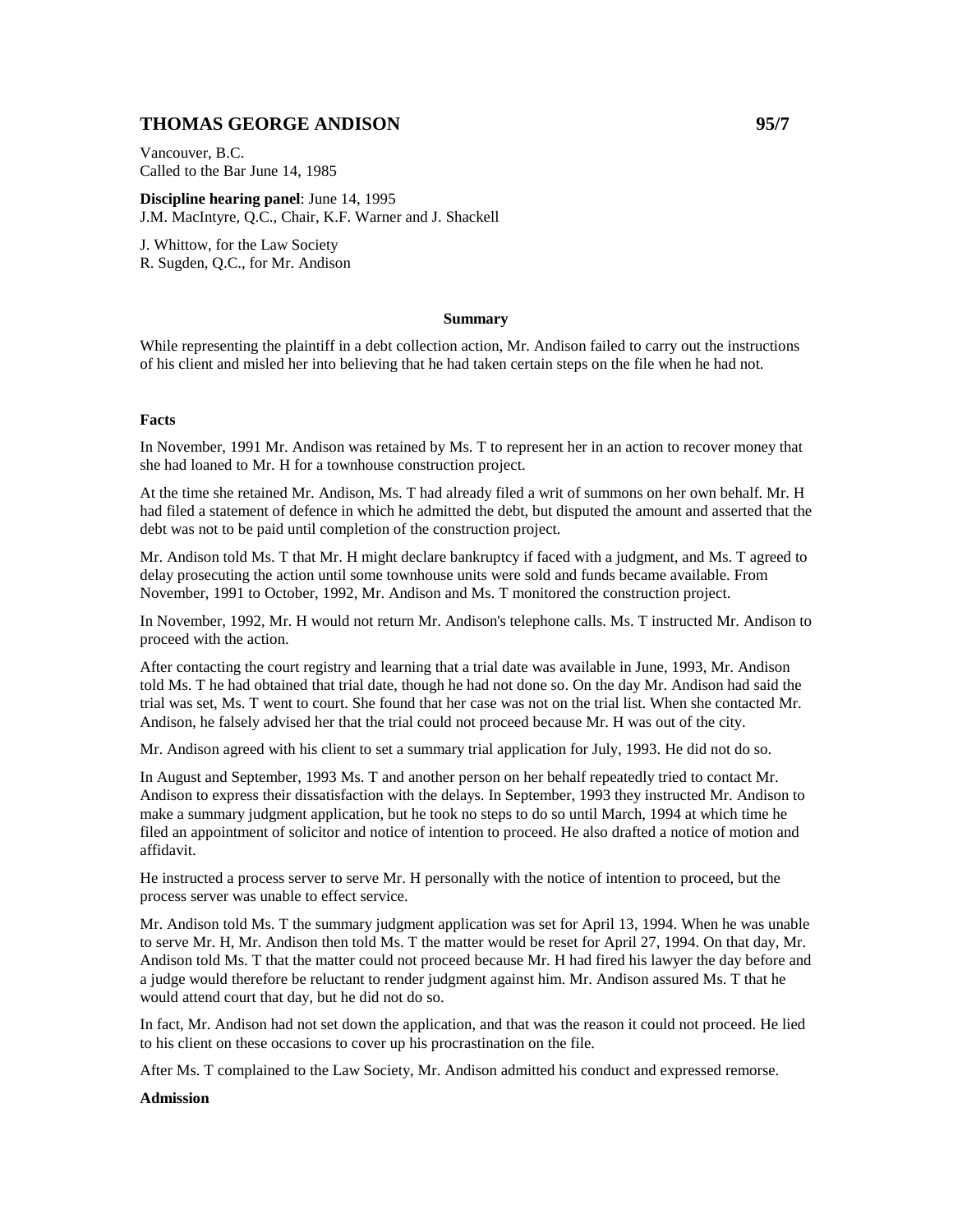## **THOMAS GEORGE ANDISON 95/7**

Vancouver, B.C. Called to the Bar June 14, 1985

**Discipline hearing panel**: June 14, 1995 J.M. MacIntyre, Q.C., Chair, K.F. Warner and J. Shackell

J. Whittow, for the Law Society R. Sugden, Q.C., for Mr. Andison

## **Summary**

While representing the plaintiff in a debt collection action, Mr. Andison failed to carry out the instructions of his client and misled her into believing that he had taken certain steps on the file when he had not.

## **Facts**

In November, 1991 Mr. Andison was retained by Ms. T to represent her in an action to recover money that she had loaned to Mr. H for a townhouse construction project.

At the time she retained Mr. Andison, Ms. T had already filed a writ of summons on her own behalf. Mr. H had filed a statement of defence in which he admitted the debt, but disputed the amount and asserted that the debt was not to be paid until completion of the construction project.

Mr. Andison told Ms. T that Mr. H might declare bankruptcy if faced with a judgment, and Ms. T agreed to delay prosecuting the action until some townhouse units were sold and funds became available. From November, 1991 to October, 1992, Mr. Andison and Ms. T monitored the construction project.

In November, 1992, Mr. H would not return Mr. Andison's telephone calls. Ms. T instructed Mr. Andison to proceed with the action.

After contacting the court registry and learning that a trial date was available in June, 1993, Mr. Andison told Ms. T he had obtained that trial date, though he had not done so. On the day Mr. Andison had said the trial was set, Ms. T went to court. She found that her case was not on the trial list. When she contacted Mr. Andison, he falsely advised her that the trial could not proceed because Mr. H was out of the city.

Mr. Andison agreed with his client to set a summary trial application for July, 1993. He did not do so.

In August and September, 1993 Ms. T and another person on her behalf repeatedly tried to contact Mr. Andison to express their dissatisfaction with the delays. In September, 1993 they instructed Mr. Andison to make a summary judgment application, but he took no steps to do so until March, 1994 at which time he filed an appointment of solicitor and notice of intention to proceed. He also drafted a notice of motion and affidavit.

He instructed a process server to serve Mr. H personally with the notice of intention to proceed, but the process server was unable to effect service.

Mr. Andison told Ms. T the summary judgment application was set for April 13, 1994. When he was unable to serve Mr. H, Mr. Andison then told Ms. T the matter would be reset for April 27, 1994. On that day, Mr. Andison told Ms. T that the matter could not proceed because Mr. H had fired his lawyer the day before and a judge would therefore be reluctant to render judgment against him. Mr. Andison assured Ms. T that he would attend court that day, but he did not do so.

In fact, Mr. Andison had not set down the application, and that was the reason it could not proceed. He lied to his client on these occasions to cover up his procrastination on the file.

After Ms. T complained to the Law Society, Mr. Andison admitted his conduct and expressed remorse.

**Admission**